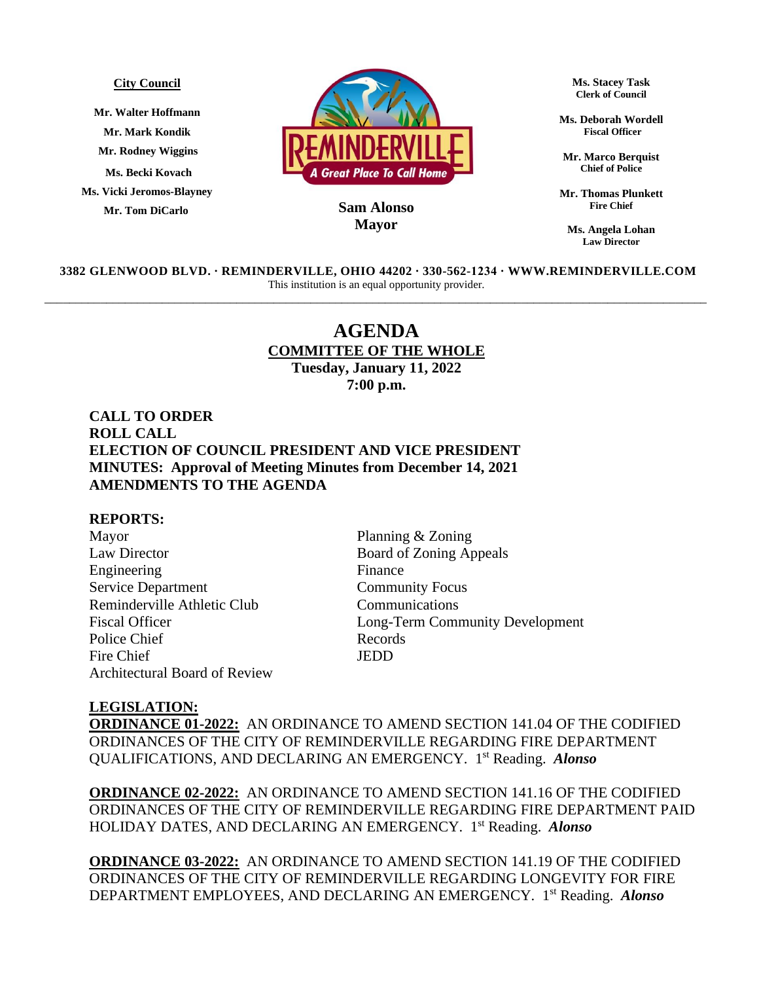#### **City Council**

**Mr. Walter Hoffmann Mr. Mark Kondik Mr. Rodney Wiggins Ms. Becki Kovach Ms. Vicki Jeromos-Blayney Mr. Tom DiCarlo**



## **MayorSam Alonso**

**Ms. Stacey Task Clerk of Council**

**Ms. Deborah Wordell Fiscal Officer**

**Mr. Marco Berquist Chief of Police**

**Mr. Thomas Plunkett Fire Chief**

**Ms. Angela Lohan Law Director**

**3382 GLENWOOD BLVD. ∙ REMINDERVILLE, OHIO 44202 ∙ 330-562-1234 ∙ WWW.REMINDERVILLE.COM**  This institution is an equal opportunity provider. \_\_\_\_\_\_\_\_\_\_\_\_\_\_\_\_\_\_\_\_\_\_\_\_\_\_\_\_\_\_\_\_\_\_\_\_\_\_\_\_\_\_\_\_\_\_\_\_\_\_\_\_\_\_\_\_\_\_\_\_\_\_\_\_\_\_\_\_\_\_\_\_\_\_\_\_\_\_\_\_\_\_\_\_\_\_\_\_\_\_\_\_\_\_\_\_\_\_\_\_\_\_\_\_\_\_\_

# **AGENDA COMMITTEE OF THE WHOLE Tuesday, January 11, 2022 7:00 p.m.**

**CALL TO ORDER ROLL CALL ELECTION OF COUNCIL PRESIDENT AND VICE PRESIDENT MINUTES: Approval of Meeting Minutes from December 14, 2021 AMENDMENTS TO THE AGENDA**

## **REPORTS:**

Mayor Planning & Zoning Law Director Board of Zoning Appeals Engineering Finance Service Department Community Focus Reminderville Athletic Club Communications Police Chief Records Fire Chief JEDD Architectural Board of Review

Fiscal Officer Long-Term Community Development

### **LEGISLATION:**

**ORDINANCE 01-2022:** AN ORDINANCE TO AMEND SECTION 141.04 OF THE CODIFIED ORDINANCES OF THE CITY OF REMINDERVILLE REGARDING FIRE DEPARTMENT QUALIFICATIONS, AND DECLARING AN EMERGENCY. 1 st Reading. *Alonso* 

**ORDINANCE 02-2022:** AN ORDINANCE TO AMEND SECTION 141.16 OF THE CODIFIED ORDINANCES OF THE CITY OF REMINDERVILLE REGARDING FIRE DEPARTMENT PAID HOLIDAY DATES, AND DECLARING AN EMERGENCY. 1 st Reading. *Alonso* 

**ORDINANCE 03-2022:** AN ORDINANCE TO AMEND SECTION 141.19 OF THE CODIFIED ORDINANCES OF THE CITY OF REMINDERVILLE REGARDING LONGEVITY FOR FIRE DEPARTMENT EMPLOYEES, AND DECLARING AN EMERGENCY. 1 st Reading. *Alonso*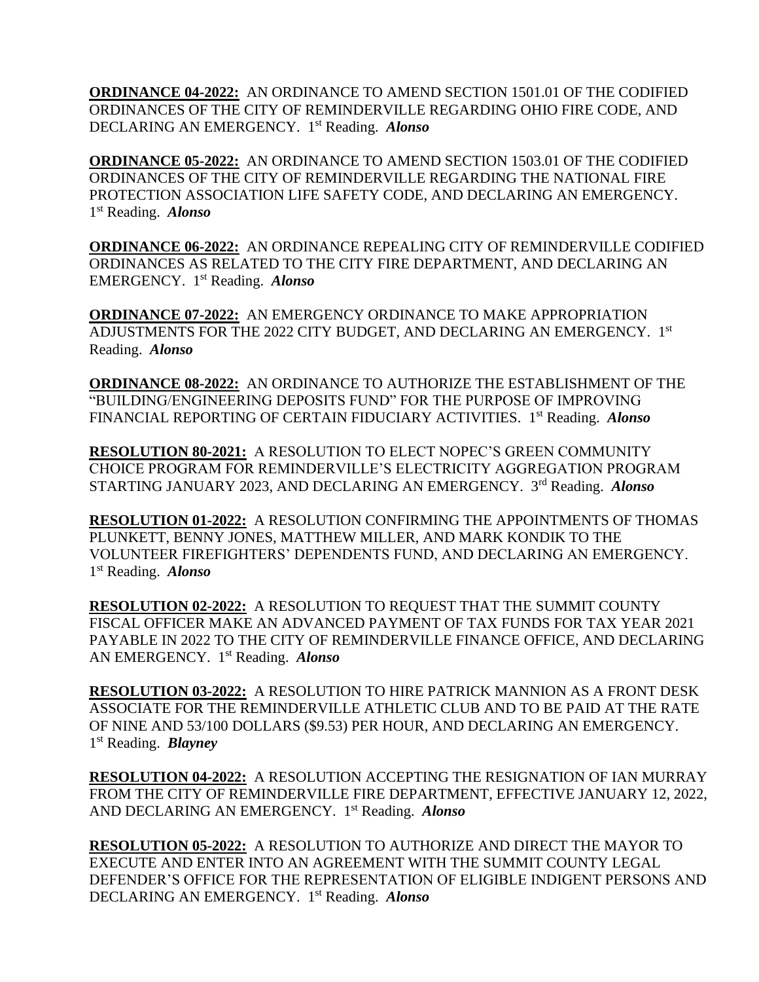**ORDINANCE 04-2022:** AN ORDINANCE TO AMEND SECTION 1501.01 OF THE CODIFIED ORDINANCES OF THE CITY OF REMINDERVILLE REGARDING OHIO FIRE CODE, AND DECLARING AN EMERGENCY. 1 st Reading. *Alonso* 

**ORDINANCE 05-2022:** AN ORDINANCE TO AMEND SECTION 1503.01 OF THE CODIFIED ORDINANCES OF THE CITY OF REMINDERVILLE REGARDING THE NATIONAL FIRE PROTECTION ASSOCIATION LIFE SAFETY CODE, AND DECLARING AN EMERGENCY. 1 st Reading. *Alonso* 

**ORDINANCE 06-2022:** AN ORDINANCE REPEALING CITY OF REMINDERVILLE CODIFIED ORDINANCES AS RELATED TO THE CITY FIRE DEPARTMENT, AND DECLARING AN EMERGENCY. 1 st Reading. *Alonso* 

**ORDINANCE 07-2022:** AN EMERGENCY ORDINANCE TO MAKE APPROPRIATION ADJUSTMENTS FOR THE 2022 CITY BUDGET, AND DECLARING AN EMERGENCY. 1st Reading. *Alonso*

**ORDINANCE 08-2022:** AN ORDINANCE TO AUTHORIZE THE ESTABLISHMENT OF THE "BUILDING/ENGINEERING DEPOSITS FUND" FOR THE PURPOSE OF IMPROVING FINANCIAL REPORTING OF CERTAIN FIDUCIARY ACTIVITIES. 1<sup>st</sup> Reading. Alonso

**RESOLUTION 80-2021:** A RESOLUTION TO ELECT NOPEC'S GREEN COMMUNITY CHOICE PROGRAM FOR REMINDERVILLE'S ELECTRICITY AGGREGATION PROGRAM STARTING JANUARY 2023, AND DECLARING AN EMERGENCY. 3rd Reading. Alonso

**RESOLUTION 01-2022:** A RESOLUTION CONFIRMING THE APPOINTMENTS OF THOMAS PLUNKETT, BENNY JONES, MATTHEW MILLER, AND MARK KONDIK TO THE VOLUNTEER FIREFIGHTERS' DEPENDENTS FUND, AND DECLARING AN EMERGENCY. 1 st Reading. *Alonso* 

**RESOLUTION 02-2022:** A RESOLUTION TO REQUEST THAT THE SUMMIT COUNTY FISCAL OFFICER MAKE AN ADVANCED PAYMENT OF TAX FUNDS FOR TAX YEAR 2021 PAYABLE IN 2022 TO THE CITY OF REMINDERVILLE FINANCE OFFICE, AND DECLARING AN EMERGENCY. 1 st Reading. *Alonso*

**RESOLUTION 03-2022:** A RESOLUTION TO HIRE PATRICK MANNION AS A FRONT DESK ASSOCIATE FOR THE REMINDERVILLE ATHLETIC CLUB AND TO BE PAID AT THE RATE OF NINE AND 53/100 DOLLARS (\$9.53) PER HOUR, AND DECLARING AN EMERGENCY. 1 st Reading. *Blayney*

**RESOLUTION 04-2022:** A RESOLUTION ACCEPTING THE RESIGNATION OF IAN MURRAY FROM THE CITY OF REMINDERVILLE FIRE DEPARTMENT, EFFECTIVE JANUARY 12, 2022, AND DECLARING AN EMERGENCY. 1 st Reading. *Alonso*

**RESOLUTION 05-2022:** A RESOLUTION TO AUTHORIZE AND DIRECT THE MAYOR TO EXECUTE AND ENTER INTO AN AGREEMENT WITH THE SUMMIT COUNTY LEGAL DEFENDER'S OFFICE FOR THE REPRESENTATION OF ELIGIBLE INDIGENT PERSONS AND DECLARING AN EMERGENCY. 1 st Reading. *Alonso*